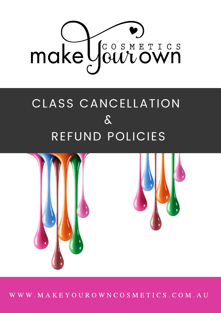

## CLASS CANCELLATION & REFUND POLICIES



W W W . M A K E Y O U R O W N C O S M E T I C S . C O M . A U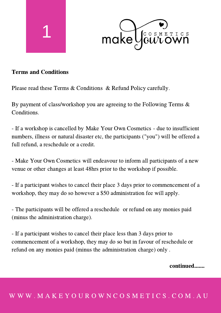



## Terms and Conditions

Please read these Terms & Conditions & Refund Policy carefully.

By payment of class/workshop you are agreeing to the Following Terms & Conditions.

- If a workshop is cancelled by Make Your Own Cosmetics - due to insufficient numbers, illness or natural disaster etc, the participants ("you") will be offered a full refund, a reschedule or a credit.

- Make Your Own Cosmetics will endeavour to inform all participants of a new venue or other changes at least 48hrs prior to the workshop if possible.

- If a participant wishes to cancel their place 3 days prior to commencement of a workshop, they may do so however a \$50 administration fee will apply.

- The participants will be offered a reschedule or refund on any monies paid (minus the administration charge).

- If a participant wishes to cancel their place less than 3 days prior to commencement of a workshop, they may do so but in favour of reschedule or refund on any monies paid (minus the administration charge) only .

## continued.......

## W W W . M A K E Y O U R O W N C O S M E T I C S . C O M . A U